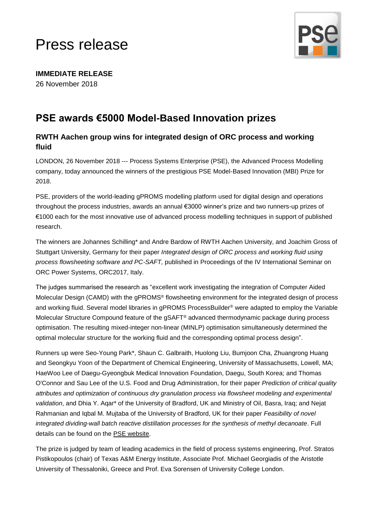# Press release



**IMMEDIATE RELEASE** 26 November 2018

# **PSE awards €5000 Model-Based Innovation prizes**

## **RWTH Aachen group wins for integrated design of ORC process and working fluid**

LONDON, 26 November 2018 --- Process Systems Enterprise (PSE), the Advanced Process Modelling company, today announced the winners of the prestigious PSE Model-Based Innovation (MBI) Prize for 2018.

PSE, providers of the world-leading gPROMS modelling platform used for digital design and operations throughout the process industries, awards an annual €3000 winner's prize and two runners-up prizes of €1000 each for the most innovative use of advanced process modelling techniques in support of published research.

The winners are Johannes Schilling\* and Andre Bardow of RWTH Aachen University, and Joachim Gross of Stuttgart University, Germany for their paper *Integrated design of ORC process and working fluid using process flowsheeting software and PC-SAFT,* published in Proceedings of the IV International Seminar on ORC Power Systems, ORC2017, Italy.

The judges summarised the research as "excellent work investigating the integration of Computer Aided Molecular Design (CAMD) with the gPROMS® flowsheeting environment for the integrated design of process and working fluid. Several model libraries in gPROMS ProcessBuilder® were adapted to employ the Variable Molecular Structure Compound feature of the gSAFT® advanced thermodynamic package during process optimisation. The resulting mixed-integer non-linear (MINLP) optimisation simultaneously determined the optimal molecular structure for the working fluid and the corresponding optimal process design".

Runners up were Seo-Young Park\*, Shaun C. Galbraith, Huolong Liu, Bumjoon Cha, Zhuangrong Huang and Seongkyu Yoon of the Department of Chemical Engineering, University of Massachusetts, Lowell, MA; HaeWoo Lee of Daegu-Gyeongbuk Medical Innovation Foundation, Daegu, South Korea; and Thomas O'Connor and Sau Lee of the U.S. Food and Drug Administration, for their paper *Prediction of critical quality attributes and optimization of continuous dry granulation process via flowsheet modeling and experimental validation*, and Dhia Y. Aqar\* of the University of Bradford, UK and Ministry of Oil, Basra, Iraq; and Nejat Rahmanian and Iqbal M. Mujtaba of the University of Bradford, UK for their paper *Feasibility of novel integrated dividing-wall batch reactive distillation processes for the synthesis of methyl decanoate*. Full details can be found on the [PSE website.](https://www.psenterprise.com/sectors/academic/mbi-prize/2018/results)

The prize is judged by team of leading academics in the field of process systems engineering, Prof. Stratos Pistikopoulos (chair) of Texas A&M Energy Institute, Associate Prof. Michael Georgiadis of the Aristotle University of Thessaloniki, Greece and Prof. Eva Sorensen of University College London.